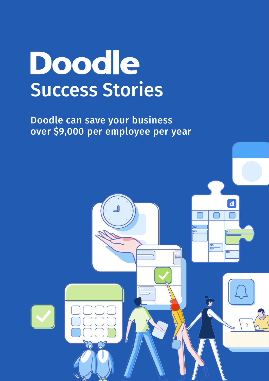# Doodle Success Stories

B

Doodle can save your business over \$9,000 per employee per year

 $\overline{\mathbf{d}}$ 

œ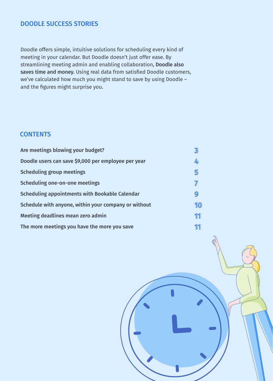#### DOODLE SUCCESS STORIES

Doodle offers simple, intuitive solutions for scheduling every kind of meeting in your calendar. But Doodle doesn't just offer ease. By streamlining meeting admin and enabling collaboration, Doodle also saves time and money. Using real data from satisfied Doodle customers, we've calculated how much you might stand to save by using Doodle – and the figures might surprise you.

#### **CONTENTS**

| Are meetings blowing your budget?                    |    |
|------------------------------------------------------|----|
| Doodle users can save \$9,000 per employee per year  | 4  |
| <b>Scheduling group meetings</b>                     | 5  |
| Scheduling one-on-one meetings                       |    |
| Scheduling appointments with Bookable Calendar       | 9  |
| Schedule with anyone, within your company or without | 10 |
| Meeting deadlines mean zero admin                    | 11 |
| The more meetings you have the more you save         |    |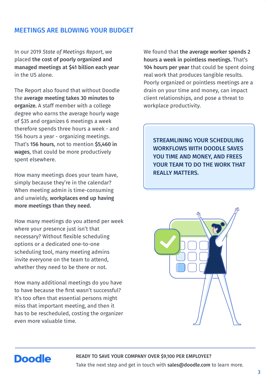#### MEETINGS ARE BLOWING YOUR BUDGET

In our 2019 *State of Meetings Report*, we placed the cost of poorly organized and managed meetings at \$41 billion each year in the US alone.

The Report also found that without Doodle the average meeting takes 30 minutes to organize. A staff member with a college degree who earns the average hourly wage of \$35 and organizes 6 meetings a week therefore spends three hours a week - and 156 hours a year - organizing meetings. That's 156 hours, not to mention \$5,460 in wages, that could be more productively spent elsewhere.

How many meetings does your team have, simply because they're in the calendar? When meeting admin is time-consuming and unwieldy, workplaces end up having more meetings than they need.

How many meetings do you attend per week where your presence just isn't that necessary? Without flexible scheduling options or a dedicated one-to-one scheduling tool, many meeting admins invite everyone on the team to attend, whether they need to be there or not.

How many additional meetings do you have to have because the first wasn't successful? It's too often that essential persons might miss that important meeting, and then it has to be rescheduled, costing the organizer even more valuable time.

We found that the average worker spends 2 hours a week in pointless meetings. That's 104 hours per year that could be spent doing real work that produces tangible results. Poorly organized or pointless meetings are a drain on your time and money, can impact client relationships, and pose a threat to workplace productivity.

STREAMLINING YOUR SCHEDULING WORKFLOWS WITH DOODLE SAVES YOU TIME AND MONEY, AND FREES YOUR TEAM TO DO THE WORK THAT REALLY MATTERS.



# **Doodle**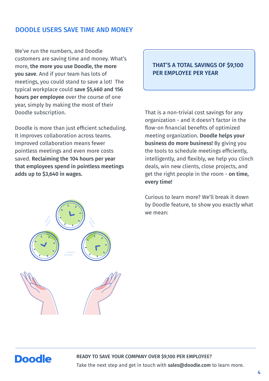#### DOODLE USERS SAVE TIME AND MONEY

We've run the numbers, and Doodle customers are saving time and money. What's more, the more you use Doodle, the more you save. And if your team has lots of meetings, you could stand to save a lot! The typical workplace could save \$5,460 and 156 hours per employee over the course of one year, simply by making the most of their Doodle subscription.

Doodle is more than just efficient scheduling. It improves collaboration across teams. Improved collaboration means fewer pointless meetings and even more costs saved. Reclaiming the 104 hours per year that employees spend in pointless meetings adds up to \$3,640 in wages.

#### THAT'S A TOTAL SAVINGS OF \$9,100 PER EMPLOYEE PER YEAR

That is a non-trivial cost savings for any organization - and it doesn't factor in the flow-on financial benefits of optimized meeting organization. Doodle helps your business do more business! By giving you the tools to schedule meetings efficiently, intelligently, and flexibly, we help you clinch deals, win new clients, close projects, and get the right people in the room - on time, every time!

Curious to learn more? We'll break it down by Doodle feature, to show you exactly what we mean:



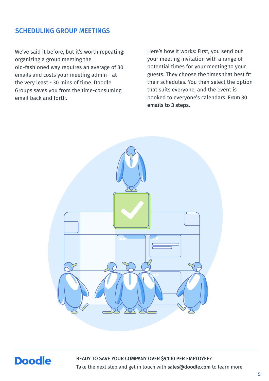#### SCHEDULING GROUP MEETINGS

We've said it before, but it's worth repeating: organizing a group meeting the old-fashioned way requires an average of 30 emails and costs your meeting admin - at the very least - 30 mins of time. Doodle Groups saves you from the time-consuming email back and forth.

Here's how it works: First, you send out your meeting invitation with a range of potential times for your meeting to your guests. They choose the times that best fit their schedules. You then select the option that suits everyone, and the event is booked to everyone's calendars. From 30 emails to 3 steps.



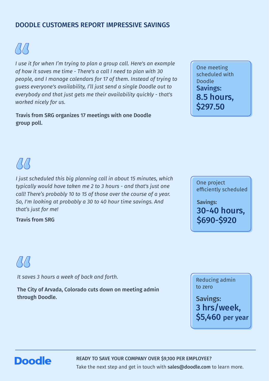#### DOODLE CUSTOMERS REPORT IMPRESSIVE SAVINGS

 $\sqrt{3}/3$ 

*I use it for when I'm trying to plan a group call. Here's an example of how it saves me time - There's a call I need to plan with 30 people, and I manage calendars for 17 of them. Instead of trying to guess everyone's availability, I'll just send a single Doodle out to everybody and that just gets me their availability quickly - that's worked nicely for us.*

Travis from SRG organizes 17 meetings with one Doodle group poll.

Savings: 8.5 hours, \$297.50 One meeting scheduled with Doodle



*I just scheduled this big planning call in about 15 minutes, which typically would have taken me 2 to 3 hours - and that's just one call! There's probably 10 to 15 of those over the course of a year. So, I'm looking at probably a 30 to 40 hour time savings. And that's just for me!*

Travis from SRG

One project efficiently scheduled

Savings: 30-40 hours, \$690-\$920

 $\beta\beta$ 

*It saves 3 hours a week of back and forth.*

The City of Arvada, Colorado cuts down on meeting admin through Doodle. The same state of the same state of the same state of the Savings:

Reducing admin to zero

3 hrs/week, \$5,460 per year

# **Doodle**

READY TO SAVE YOUR COMPANY OVER \$9,100 PER EMPLOYEE?

Take the next step and get in touch with sales@doodle.com to learn more.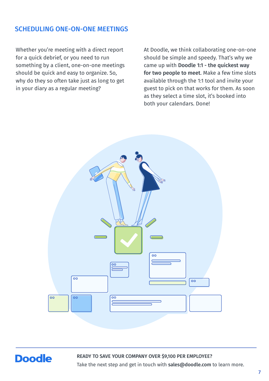#### SCHEDULING ONE-ON-ONE MEETINGS

Whether you're meeting with a direct report for a quick debrief, or you need to run something by a client, one-on-one meetings should be quick and easy to organize. So, why do they so often take just as long to get in your diary as a regular meeting?

At Doodle, we think collaborating one-on-one should be simple and speedy. That's why we came up with Doodle 1:1 - the quickest way for two people to meet. Make a few time slots available through the 1:1 tool and invite your guest to pick on that works for them. As soon as they select a time slot, it's booked into both your calendars. Done!



# **Doodle**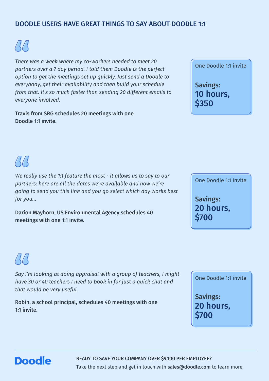#### DOODLE USERS HAVE GREAT THINGS TO SAY ABOUT DOODLE 1:1

 $\sqrt{11}$ 

*There was a week where my co-workers needed to meet 20 partners over a 7 day period. I told them Doodle is the perfect option to get the meetings set up quickly. Just send a Doodle to everybody, get their availability and then build your schedule from that. It's so much faster than sending 20 different emails to everyone involved.*

Travis from SRG schedules 20 meetings with one Doodle 1:1 invite.



Savings: 10 hours, \$350

# $\frac{1}{4}$

*We really use the 1:1 feature the most - it allows us to say to our partners: here are all the dates we're available and now we're going to send you this link and you go select which day works best for you...*

Darion Mayhorn, US Environmental Agency schedules 40 meetings with one 1:1 invite.



One Doodle 1:1 invite



*Say I'm looking at doing appraisal with a group of teachers, I might have 30 or 40 teachers I need to book in for just a quick chat and that would be very useful.*

Robin, a school principal, schedules 40 meetings with one 1:1 invite.

One Doodle 1:1 invite

Savings: 20 hours, \$700

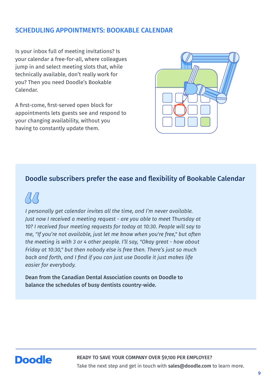#### SCHEDULING APPOINTMENTS: BOOKABLE CALENDAR

Is your inbox full of meeting invitations? Is your calendar a free-for-all, where colleagues jump in and select meeting slots that, while technically available, don't really work for you? Then you need Doodle's Bookable Calendar.

A first-come, first-served open block for appointments lets guests see and respond to your changing availability, without you having to constantly update them.



#### Doodle subscribers prefer the ease and flexibility of Bookable Calendar



*I personally get calendar invites all the time, and I'm never available. Just now I received a meeting request - are you able to meet Thursday at 10? I received four meeting requests for today at 10:30. People will say to me, "If you're not available, just let me know when you're free," but often the meeting is with 3 or 4 other people. I'll say, "Okay great - how about Friday at 10:30," but then nobody else is free then. There's just so much back and forth, and I find if you can just use Doodle it just makes life easier for everybody.*

Dean from the Canadian Dental Association counts on Doodle to balance the schedules of busy dentists country-wide.

# **Doodle**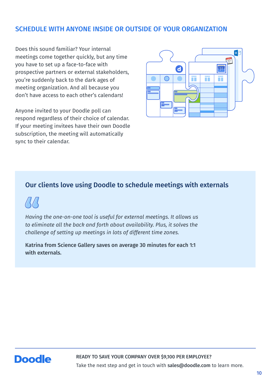#### SCHEDULE WITH ANYONE INSIDE OR OUTSIDE OF YOUR ORGANIZATION

Does this sound familiar? Your internal meetings come together quickly, but any time you have to set up a face-to-face with prospective partners or external stakeholders, you're suddenly back to the dark ages of meeting organization. And all because you don't have access to each other's calendars!

Anyone invited to your Doodle poll can respond regardless of their choice of calendar. If your meeting invitees have their own Doodle subscription, the meeting will automatically sync to their calendar.



#### Our clients love using Doodle to schedule meetings with externals

*Having the one-on-one tool is useful for external meetings. It allows us to eliminate all the back and forth about availability. Plus, it solves the challenge of setting up meetings in lots of different time zones.*

Katrina from Science Gallery saves on average 30 minutes for each 1:1 with externals.

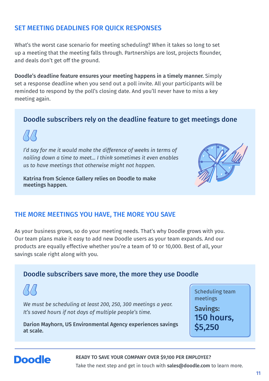#### SET MEETING DEADLINES FOR QUICK RESPONSES

What's the worst case scenario for meeting scheduling? When it takes so long to set up a meeting that the meeting falls through. Partnerships are lost, projects flounder, and deals don't get off the ground.

Doodle's deadline feature ensures your meeting happens in a timely manner. Simply set a response deadline when you send out a poll invite. All your participants will be reminded to respond by the poll's closing date. And you'll never have to miss a key meeting again.

#### Doodle subscribers rely on the deadline feature to get meetings done

*I'd say for me it would make the difference of weeks in terms of nailing down a time to meet... I think sometimes it even enables us to have meetings that otherwise might not happen.*

Katrina from Science Gallery relies on Doodle to make meetings happen.



#### THE MORE MEETINGS YOU HAVE, THE MORE YOU SAVE

As your business grows, so do your meeting needs. That's why Doodle grows with you. Our team plans make it easy to add new Doodle users as your team expands. And our products are equally effective whether you're a team of 10 or 10,000. Best of all, your savings scale right along with you.



Scheduling team meetings

Savings: 150 hours, \$5,250

# **Doodle**

at scale.